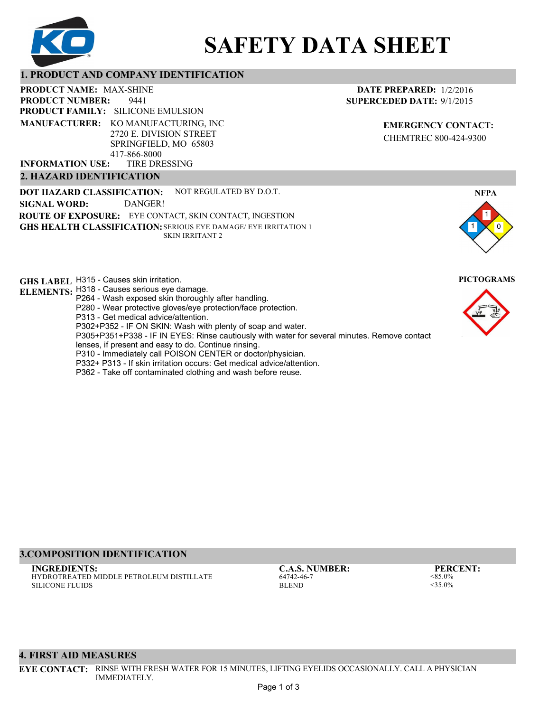

# **SAFETY DATA SHEET**

## **1. PRODUCT AND COMPANY IDENTIFICATION**

9441 **PRODUCT NAME: MAX-SHINE PRODUCT FAMILY: SILICONE EMULSION** TIRE DRESSING **PRODUCT NUMBER: MANUFACTURER:** KO MANUFACTURING, INC 2720 E. DIVISION STREET SPRINGFIELD, MO 65803 417-866-8000 **INFORMATION USE:**

## **2. HAZARD IDENTIFICATION**

**DOT HAZARD CLASSIFICATION: GHS HEALTH CLASSIFICATION:** SERIOUS EYE DAMAGE/ EYE IRRITATION 1 **ROUTE OF EXPOSURE:** EYE CONTACT, SKIN CONTACT, INGESTION NOT REGULATED BY D.O.T. SKIN IRRITANT 2 **SIGNAL WORD:** DANGER!

**GHS LABEL**  H315 - Causes skin irritation. **PICTOGRAMS ELEMENTS:** H318 - Causes serious eye damage.

- P264 Wash exposed skin thoroughly after handling.
	- P280 Wear protective gloves/eye protection/face protection.
	- P313 Get medical advice/attention.
	- P302+P352 IF ON SKIN: Wash with plenty of soap and water.

P305+P351+P338 - IF IN EYES: Rinse cautiously with water for several minutes. Remove contact

- lenses, if present and easy to do. Continue rinsing.
- P310 Immediately call POISON CENTER or doctor/physician.
- P332+ P313 If skin irritation occurs: Get medical advice/attention.
- P362 Take off contaminated clothing and wash before reuse.

## **DATE PREPARED:** 1/2/2016 **SUPERCEDED DATE:** 9/1/2015

**EMERGENCY CONTACT:** CHEMTREC 800-424-9300





## **3.COMPOSITION IDENTIFICATION**

HYDROTREATED MIDDLE PETROLEUM DISTILLATE SILICONE FLUIDS **INGREDIENTS: C.A.S. NUMBER: PERCENT:**

64742-46-7 **BLEND** 

<85.0%  $<$ 35.0%

### **4. FIRST AID MEASURES**

**EYE CONTACT:** RINSE WITH FRESH WATER FOR 15 MINUTES, LIFTING EYELIDS OCCASIONALLY. CALL A PHYSICIAN IMMEDIATELY.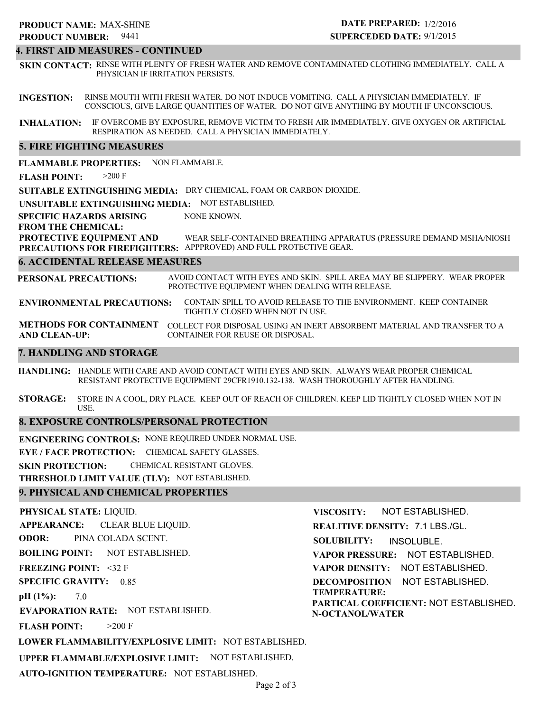## **4. FIRST AID MEASURES - CONTINUED**

**SKIN CONTACT:** RINSE WITH PLENTY OF FRESH WATER AND REMOVE CONTAMINATED CLOTHING IMMEDIATELY. CALL A PHYSICIAN IF IRRITATION PERSISTS.

**INGESTION:** RINSE MOUTH WITH FRESH WATER. DO NOT INDUCE VOMITING. CALL A PHYSICIAN IMMEDIATELY. IF CONSCIOUS, GIVE LARGE QUANTITIES OF WATER. DO NOT GIVE ANYTHING BY MOUTH IF UNCONSCIOUS.

**INHALATION:** IF OVERCOME BY EXPOSURE, REMOVE VICTIM TO FRESH AIR IMMEDIATELY. GIVE OXYGEN OR ARTIFICIAL RESPIRATION AS NEEDED. CALL A PHYSICIAN IMMEDIATELY.

## **5. FIRE FIGHTING MEASURES**

**FLAMMABLE PROPERTIES:** NON FLAMMABLE.

**FLASH POINT:** >200 F

**SUITABLE EXTINGUISHING MEDIA:** DRY CHEMICAL, FOAM OR CARBON DIOXIDE.

**UNSUITABLE EXTINGUISHING MEDIA:** NOT ESTABLISHED.

**SPECIFIC HAZARDS ARISING** NONE KNOWN.

**FROM THE CHEMICAL:**

**PROTECTIVE EQUIPMENT AND PRECAUTIONS FOR FIREFIGHTERS:** APPPROVED) AND FULL PROTECTIVE GEAR. WEAR SELF-CONTAINED BREATHING APPARATUS (PRESSURE DEMAND MSHA/NIOSH

## **6. ACCIDENTAL RELEASE MEASURES**

**PERSONAL PRECAUTIONS:** AVOID CONTACT WITH EYES AND SKIN. SPILL AREA MAY BE SLIPPERY. WEAR PROPER PROTECTIVE EQUIPMENT WHEN DEALING WITH RELEASE.

**ENVIRONMENTAL PRECAUTIONS:** CONTAIN SPILL TO AVOID RELEASE TO THE ENVIRONMENT. KEEP CONTAINER TIGHTLY CLOSED WHEN NOT IN USE.

**METHODS FOR CONTAINMENT** COLLECT FOR DISPOSAL USING AN INERT ABSORBENT MATERIAL AND TRANSFER TO A **AND CLEAN-UP:** CONTAINER FOR REUSE OR DISPOSAL.

## **7. HANDLING AND STORAGE**

**HANDLING:** HANDLE WITH CARE AND AVOID CONTACT WITH EYES AND SKIN. ALWAYS WEAR PROPER CHEMICAL RESISTANT PROTECTIVE EQUIPMENT 29CFR1910.132-138. WASH THOROUGHLY AFTER HANDLING.

**STORAGE:** STORE IN A COOL, DRY PLACE. KEEP OUT OF REACH OF CHILDREN. KEEP LID TIGHTLY CLOSED WHEN NOT IN USE.

## **8. EXPOSURE CONTROLS/PERSONAL PROTECTION**

**ENGINEERING CONTROLS:** NONE REQUIRED UNDER NORMAL USE.

**EYE / FACE PROTECTION:** CHEMICAL SAFETY GLASSES.

**SKIN PROTECTION:** CHEMICAL RESISTANT GLOVES.

**THRESHOLD LIMIT VALUE (TLV):** NOT ESTABLISHED.

**AUTO-IGNITION TEMPERATURE:** NOT ESTABLISHED.

## **9. PHYSICAL AND CHEMICAL PROPERTIES**

**PHYSICAL STATE:** LIQUID. **APPEARANCE: ODOR: BOILING POINT: FREEZING POINT:** <32 F **SPECIFIC GRAVITY:** 0.85 **pH (1%): EVAPORATION RATE:** NOT ESTABLISHED. **FLASH POINT: LOWER FLAMMABILITY/EXPLOSIVE LIMIT:** NOT ESTABLISHED. **UPPER FLAMMABLE/EXPLOSIVE LIMIT:** NOT ESTABLISHED. NOT ESTABLISHED. 7.0  $>200$  F CLEAR BLUE LIQUID. PINA COLADA SCENT. **VISCOSITY: REALITIVE DENSITY:** 7.1 LBS./GL. **SOLUBILITY: VAPOR PRESSURE:** NOT ESTABLISHED. **VAPOR DENSITY:** NOT ESTABLISHED. **DECOMPOSITION** NOT ESTABLISHED. **TEMPERATURE: PARTICAL COEFFICIENT:** NOT ESTABLISHED. **N-OCTANOL/WATER** NOT ESTABLISHED. INSOLUBLE.